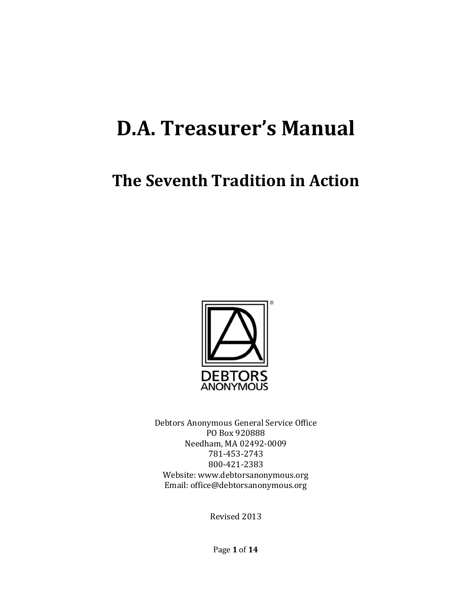# **D.A. Treasurer's Manual**

## **The Seventh Tradition in Action**



Debtors Anonymous General Service Office PO Box 920888 Needham, MA 02492-0009 781-453-2743 800-421-2383 Website: www.debtorsanonymous.org Email: office@debtorsanonymous.org

Revised 2013

Page **1** of **14**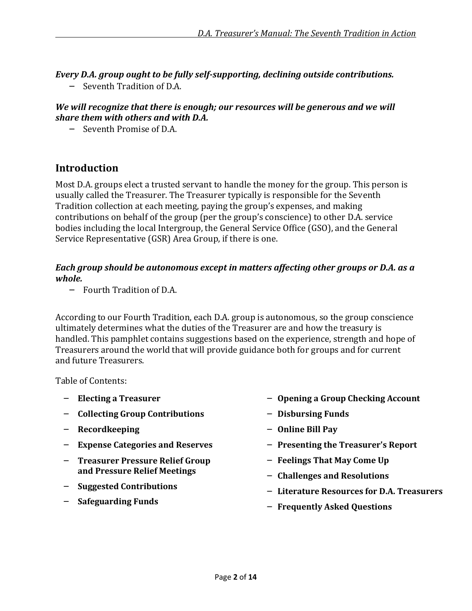*Every D.A. group ought to be fully self-supporting, declining outside contributions.* 

– Seventh Tradition of D.A.

#### *We will recognize that there is enough; our resources will be generous and we will share them with others and with D.A.*

– Seventh Promise of D.A.

### **Introduction**

Most D.A. groups elect a trusted servant to handle the money for the group. This person is usually called the Treasurer. The Treasurer typically is responsible for the Seventh Tradition collection at each meeting, paying the group's expenses, and making contributions on behalf of the group (per the group's conscience) to other D.A. service bodies including the local Intergroup, the General Service Office (GSO), and the General Service Representative (GSR) Area Group, if there is one.

#### *Each group should be autonomous except in matters affecting other groups or D.A. as a whole.*

– Fourth Tradition of D.A.

According to our Fourth Tradition, each D.A. group is autonomous, so the group conscience ultimately determines what the duties of the Treasurer are and how the treasury is handled. This pamphlet contains suggestions based on the experience, strength and hope of Treasurers around the world that will provide guidance both for groups and for current and future Treasurers.

Table of Contents:

- **Electing a Treasurer**
- **Collecting Group Contributions**
- **Recordkeeping**
- **Expense Categories and Reserves**
- **Treasurer Pressure Relief Group and Pressure Relief Meetings**
- **Suggested Contributions**
- **Safeguarding Funds**
- **Opening a Group Checking Account**
- **Disbursing Funds**
- **Online Bill Pay**
- **Presenting the Treasurer's Report**
- **Feelings That May Come Up**
- **Challenges and Resolutions**
- **Literature Resources for D.A. Treasurers**
- **Frequently Asked Questions**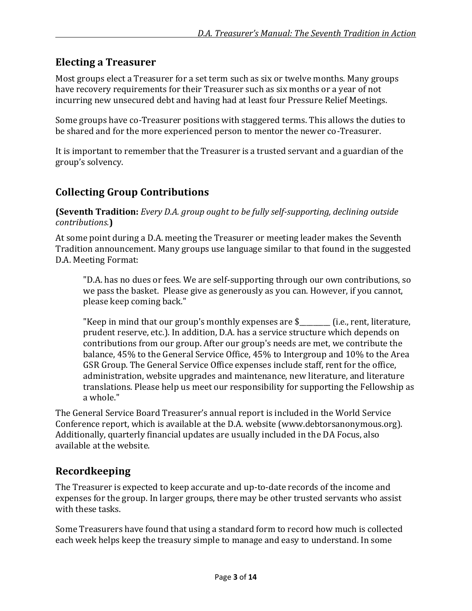## **Electing a Treasurer**

Most groups elect a Treasurer for a set term such as six or twelve months. Many groups have recovery requirements for their Treasurer such as six months or a year of not incurring new unsecured debt and having had at least four Pressure Relief Meetings.

Some groups have co-Treasurer positions with staggered terms. This allows the duties to be shared and for the more experienced person to mentor the newer co-Treasurer.

It is important to remember that the Treasurer is a trusted servant and a guardian of the group's solvency.

## **Collecting Group Contributions**

**(Seventh Tradition:** *Every D.A. group ought to be fully self-supporting, declining outside contributions.***)** 

At some point during a D.A. meeting the Treasurer or meeting leader makes the Seventh Tradition announcement. Many groups use language similar to that found in the suggested D.A. Meeting Format:

"D.A. has no dues or fees. We are self-supporting through our own contributions, so we pass the basket. Please give as generously as you can. However, if you cannot, please keep coming back."

"Keep in mind that our group's monthly expenses are \$<br> prudent reserve, etc.). In addition, D.A. has a service structure which depends on contributions from our group. After our group's needs are met, we contribute the balance, 45% to the General Service Office, 45% to Intergroup and 10% to the Area GSR Group. The General Service Office expenses include staff, rent for the office, administration, website upgrades and maintenance, new literature, and literature translations. Please help us meet our responsibility for supporting the Fellowship as a whole."

The General Service Board Treasurer's annual report is included in the World Service Conference report, which is available at the D.A. website (www.debtorsanonymous.org). Additionally, quarterly financial updates are usually included in the DA Focus, also available at the website.

## **Recordkeeping**

The Treasurer is expected to keep accurate and up-to-date records of the income and expenses for the group. In larger groups, there may be other trusted servants who assist with these tasks.

Some Treasurers have found that using a standard form to record how much is collected each week helps keep the treasury simple to manage and easy to understand. In some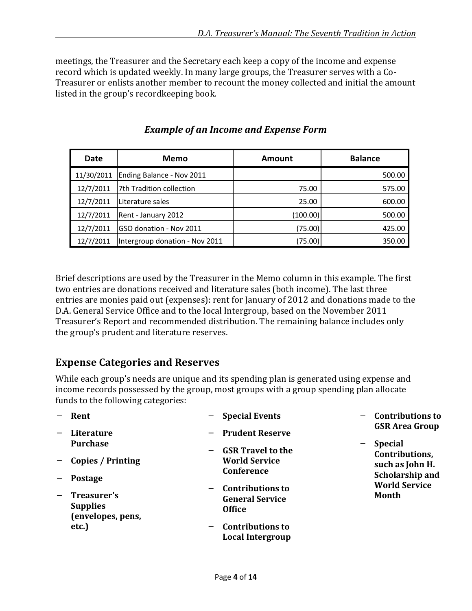meetings, the Treasurer and the Secretary each keep a copy of the income and expense record which is updated weekly. In many large groups, the Treasurer serves with a Co-Treasurer or enlists another member to recount the money collected and initial the amount listed in the group's recordkeeping book.

| Date       | Memo                           | Amount   | <b>Balance</b> |
|------------|--------------------------------|----------|----------------|
| 11/30/2011 | Ending Balance - Nov 2011      |          | 500.00         |
| 12/7/2011  | 7th Tradition collection       | 75.00    | 575.00         |
| 12/7/2011  | Literature sales               | 25.00    | 600.00         |
| 12/7/2011  | Rent - January 2012            | (100.00) | 500.00         |
| 12/7/2011  | GSO donation - Nov 2011        | (75.00)  | 425.00         |
| 12/7/2011  | Intergroup donation - Nov 2011 | (75.00)  | 350.00         |

*Example of an Income and Expense Form*

Brief descriptions are used by the Treasurer in the Memo column in this example. The first two entries are donations received and literature sales (both income). The last three entries are monies paid out (expenses): rent for January of 2012 and donations made to the D.A. General Service Office and to the local Intergroup, based on the November 2011 Treasurer's Report and recommended distribution. The remaining balance includes only the group's prudent and literature reserves.

## **Expense Categories and Reserves**

While each group's needs are unique and its spending plan is generated using expense and income records possessed by the group, most groups with a group spending plan allocate funds to the following categories:

| Rent                                                                     | <b>Special Events</b>                                                                          | - Contributions to                                           |
|--------------------------------------------------------------------------|------------------------------------------------------------------------------------------------|--------------------------------------------------------------|
| Literature<br>$\overline{\phantom{m}}$<br><b>Purchase</b>                | <b>Prudent Reserve</b>                                                                         | <b>GSR Area Group</b><br><b>Special</b><br>$\qquad \qquad -$ |
| Copies / Printing<br>$-$<br><b>Postage</b><br>$\overline{\phantom{m}}$   | <b>GSR Travel to the</b><br><b>World Service</b><br>Conference                                 | Contributions,<br>such as John H.                            |
|                                                                          |                                                                                                | <b>Scholarship and</b><br><b>World Service</b>               |
| Treasurer's<br>$\qquad \qquad -$<br><b>Supplies</b><br>(envelopes, pens, | <b>Contributions to</b><br>$\overline{\phantom{m}}$<br><b>General Service</b><br><b>Office</b> | Month                                                        |
| etc.)                                                                    | <b>Contributions to</b><br>$\overline{\phantom{m}}$<br>Local Intergroup                        |                                                              |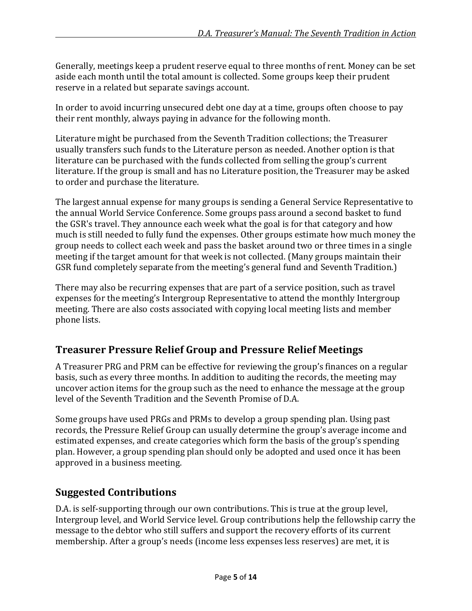Generally, meetings keep a prudent reserve equal to three months of rent. Money can be set aside each month until the total amount is collected. Some groups keep their prudent reserve in a related but separate savings account.

In order to avoid incurring unsecured debt one day at a time, groups often choose to pay their rent monthly, always paying in advance for the following month.

Literature might be purchased from the Seventh Tradition collections; the Treasurer usually transfers such funds to the Literature person as needed. Another option is that literature can be purchased with the funds collected from selling the group's current literature. If the group is small and has no Literature position, the Treasurer may be asked to order and purchase the literature.

The largest annual expense for many groups is sending a General Service Representative to the annual World Service Conference. Some groups pass around a second basket to fund the GSR's travel. They announce each week what the goal is for that category and how much is still needed to fully fund the expenses. Other groups estimate how much money the group needs to collect each week and pass the basket around two or three times in a single meeting if the target amount for that week is not collected. (Many groups maintain their GSR fund completely separate from the meeting's general fund and Seventh Tradition.)

There may also be recurring expenses that are part of a service position, such as travel expenses for the meeting's Intergroup Representative to attend the monthly Intergroup meeting. There are also costs associated with copying local meeting lists and member phone lists.

## **Treasurer Pressure Relief Group and Pressure Relief Meetings**

A Treasurer PRG and PRM can be effective for reviewing the group's finances on a regular basis, such as every three months. In addition to auditing the records, the meeting may uncover action items for the group such as the need to enhance the message at the group level of the Seventh Tradition and the Seventh Promise of D.A.

Some groups have used PRGs and PRMs to develop a group spending plan. Using past records, the Pressure Relief Group can usually determine the group's average income and estimated expenses, and create categories which form the basis of the group's spending plan. However, a group spending plan should only be adopted and used once it has been approved in a business meeting.

## **Suggested Contributions**

D.A. is self-supporting through our own contributions. This is true at the group level, Intergroup level, and World Service level. Group contributions help the fellowship carry the message to the debtor who still suffers and support the recovery efforts of its current membership. After a group's needs (income less expenses less reserves) are met, it is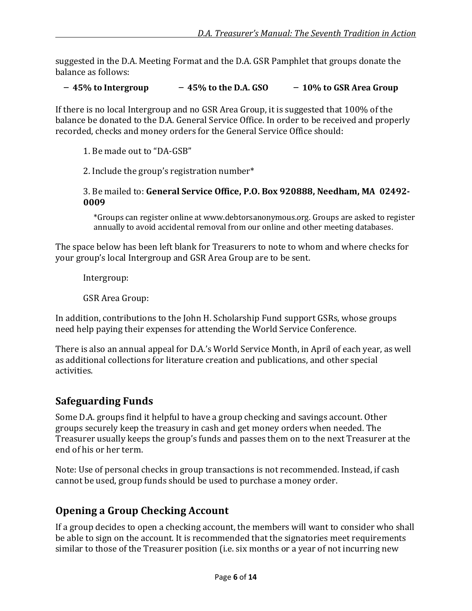suggested in the D.A. Meeting Format and the D.A. GSR Pamphlet that groups donate the balance as follows:

#### – **45% to Intergroup** – **45% to the D.A. GSO** – **10% to GSR Area Group**

If there is no local Intergroup and no GSR Area Group, it is suggested that 100% of the balance be donated to the D.A. General Service Office. In order to be received and properly recorded, checks and money orders for the General Service Office should:

1. Be made out to "DA-GSB"

2. Include the group's registration number\*

3. Be mailed to: **General Service Office, P.O. Box 920888, Needham, MA 02492- 0009** 

\*Groups can register online at www.debtorsanonymous.org. Groups are asked to register annually to avoid accidental removal from our online and other meeting databases.

The space below has been left blank for Treasurers to note to whom and where checks for your group's local Intergroup and GSR Area Group are to be sent.

Intergroup:

GSR Area Group:

In addition, contributions to the John H. Scholarship Fund support GSRs, whose groups need help paying their expenses for attending the World Service Conference.

There is also an annual appeal for D.A.'s World Service Month, in April of each year, as well as additional collections for literature creation and publications, and other special activities.

## **Safeguarding Funds**

Some D.A. groups find it helpful to have a group checking and savings account. Other groups securely keep the treasury in cash and get money orders when needed. The Treasurer usually keeps the group's funds and passes them on to the next Treasurer at the end of his or her term.

Note: Use of personal checks in group transactions is not recommended. Instead, if cash cannot be used, group funds should be used to purchase a money order.

## **Opening a Group Checking Account**

If a group decides to open a checking account, the members will want to consider who shall be able to sign on the account. It is recommended that the signatories meet requirements similar to those of the Treasurer position (i.e. six months or a year of not incurring new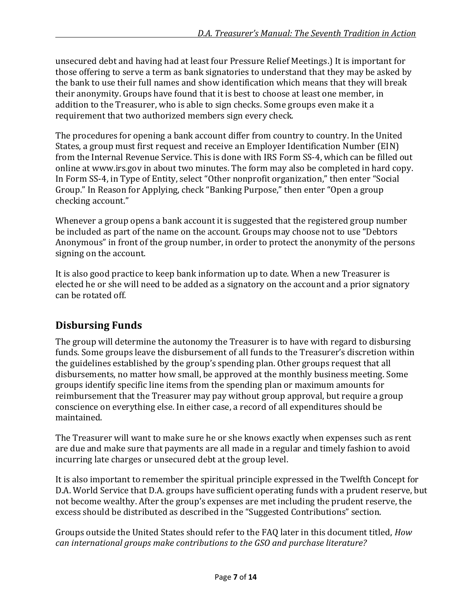unsecured debt and having had at least four Pressure Relief Meetings.) It is important for those offering to serve a term as bank signatories to understand that they may be asked by the bank to use their full names and show identification which means that they will break their anonymity. Groups have found that it is best to choose at least one member, in addition to the Treasurer, who is able to sign checks. Some groups even make it a requirement that two authorized members sign every check.

The procedures for opening a bank account differ from country to country. In the United States, a group must first request and receive an Employer Identification Number (EIN) from the Internal Revenue Service. This is done with IRS Form SS-4, which can be filled out online at www.irs.gov in about two minutes. The form may also be completed in hard copy. In Form SS-4, in Type of Entity, select "Other nonprofit organization," then enter "Social Group." In Reason for Applying, check "Banking Purpose," then enter "Open a group checking account."

Whenever a group opens a bank account it is suggested that the registered group number be included as part of the name on the account. Groups may choose not to use "Debtors Anonymous" in front of the group number, in order to protect the anonymity of the persons signing on the account.

It is also good practice to keep bank information up to date. When a new Treasurer is elected he or she will need to be added as a signatory on the account and a prior signatory can be rotated off.

## **Disbursing Funds**

The group will determine the autonomy the Treasurer is to have with regard to disbursing funds. Some groups leave the disbursement of all funds to the Treasurer's discretion within the guidelines established by the group's spending plan. Other groups request that all disbursements, no matter how small, be approved at the monthly business meeting. Some groups identify specific line items from the spending plan or maximum amounts for reimbursement that the Treasurer may pay without group approval, but require a group conscience on everything else. In either case, a record of all expenditures should be maintained.

The Treasurer will want to make sure he or she knows exactly when expenses such as rent are due and make sure that payments are all made in a regular and timely fashion to avoid incurring late charges or unsecured debt at the group level.

It is also important to remember the spiritual principle expressed in the Twelfth Concept for D.A. World Service that D.A. groups have sufficient operating funds with a prudent reserve, but not become wealthy. After the group's expenses are met including the prudent reserve, the excess should be distributed as described in the "Suggested Contributions" section.

Groups outside the United States should refer to the FAQ later in this document titled, *How can international groups make contributions to the GSO and purchase literature?*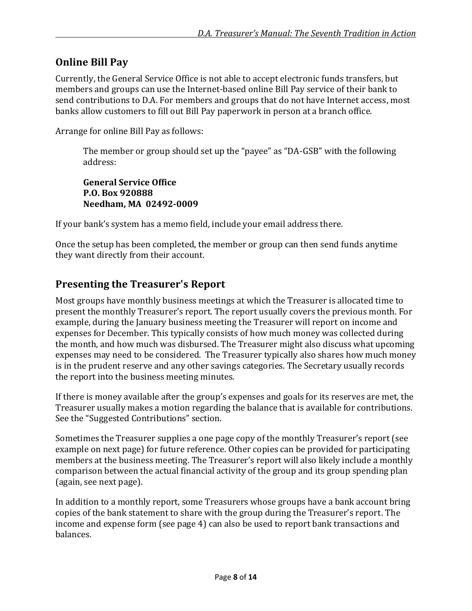## **Online Bill Pay**

Currently, the General Service Office is not able to accept electronic funds transfers, but members and groups can use the Internet-based online Bill Pay service of their bank to send contributions to D.A. For members and groups that do not have Internet access, most banks allow customers to fill out Bill Pay paperwork in person at a branch office.

Arrange for online Bill Pay as follows:

The member or group should set up the "payee" as "DA-GSB" with the following address:

**General Service Office P.O. Box 920888 Needham, MA 02492-0009** 

If your bank's system has a memo field, include your email address there.

Once the setup has been completed, the member or group can then send funds anytime they want directly from their account.

## **Presenting the Treasurer's Report**

Most groups have monthly business meetings at which the Treasurer is allocated time to present the monthly Treasurer's report. The report usually covers the previous month. For example, during the January business meeting the Treasurer will report on income and expenses for December. This typically consists of how much money was collected during the month, and how much was disbursed. The Treasurer might also discuss what upcoming expenses may need to be considered. The Treasurer typically also shares how much money is in the prudent reserve and any other savings categories. The Secretary usually records the report into the business meeting minutes.

If there is money available after the group's expenses and goals for its reserves are met, the Treasurer usually makes a motion regarding the balance that is available for contributions. See the "Suggested Contributions" section.

Sometimes the Treasurer supplies a one page copy of the monthly Treasurer's report (see example on next page) for future reference. Other copies can be provided for participating members at the business meeting. The Treasurer's report will also likely include a monthly comparison between the actual financial activity of the group and its group spending plan (again, see next page).

In addition to a monthly report, some Treasurers whose groups have a bank account bring copies of the bank statement to share with the group during the Treasurer's report. The income and expense form (see page 4) can also be used to report bank transactions and balances.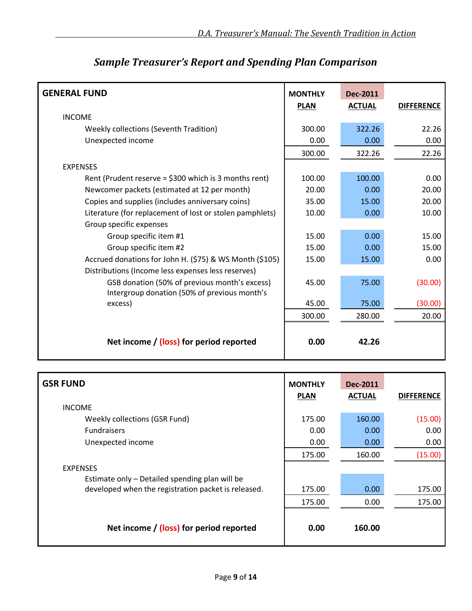| <b>GENERAL FUND</b>                                                                           | <b>MONTHLY</b><br><b>PLAN</b> | <b>Dec-2011</b><br><b>ACTUAL</b> | <b>DIFFERENCE</b> |
|-----------------------------------------------------------------------------------------------|-------------------------------|----------------------------------|-------------------|
| <b>INCOME</b>                                                                                 |                               |                                  |                   |
| Weekly collections (Seventh Tradition)                                                        | 300.00                        | 322.26                           | 22.26             |
| Unexpected income                                                                             | 0.00                          | 0.00                             | 0.00              |
|                                                                                               | 300.00                        | 322.26                           | 22.26             |
| <b>EXPENSES</b>                                                                               |                               |                                  |                   |
| Rent (Prudent reserve = $$300$ which is 3 months rent)                                        | 100.00                        | 100.00                           | 0.00              |
| Newcomer packets (estimated at 12 per month)                                                  | 20.00                         | 0.00                             | 20.00             |
| Copies and supplies (includes anniversary coins)                                              | 35.00                         | 15.00                            | 20.00             |
| Literature (for replacement of lost or stolen pamphlets)                                      | 10.00                         | 0.00                             | 10.00             |
| Group specific expenses                                                                       |                               |                                  |                   |
| Group specific item #1                                                                        | 15.00                         | 0.00                             | 15.00             |
| Group specific item #2                                                                        | 15.00                         | 0.00                             | 15.00             |
| Accrued donations for John H. (\$75) & WS Month (\$105)                                       | 15.00                         | 15.00                            | 0.00              |
| Distributions (Income less expenses less reserves)                                            |                               |                                  |                   |
| GSB donation (50% of previous month's excess)<br>Intergroup donation (50% of previous month's | 45.00                         | 75.00                            | (30.00)           |
| excess)                                                                                       | 45.00                         | 75.00                            | (30.00)           |
|                                                                                               | 300.00                        | 280.00                           | 20.00             |
| Net income / (loss) for period reported                                                       | 0.00                          | 42.26                            |                   |

## *Sample Treasurer's Report and Spending Plan Comparison*

| <b>GSR FUND</b>                                     | <b>MONTHLY</b><br><b>PLAN</b> | <b>Dec-2011</b><br><b>ACTUAL</b> | <b>DIFFERENCE</b> |
|-----------------------------------------------------|-------------------------------|----------------------------------|-------------------|
| <b>INCOME</b>                                       |                               |                                  |                   |
| <b>Weekly collections (GSR Fund)</b>                | 175.00                        | 160.00                           | (15.00)           |
| <b>Fundraisers</b>                                  | 0.00                          | 0.00                             | 0.00              |
| Unexpected income                                   | 0.00                          | 0.00                             | 0.00              |
|                                                     | 175.00                        | 160.00                           | (15.00)           |
| <b>EXPENSES</b>                                     |                               |                                  |                   |
| Estimate only - Detailed spending plan will be      |                               |                                  |                   |
| developed when the registration packet is released. | 175.00                        | 0.00                             | 175.00            |
|                                                     | 175.00                        | 0.00                             | 175.00            |
| Net income / (loss) for period reported             | 0.00                          | 160.00                           |                   |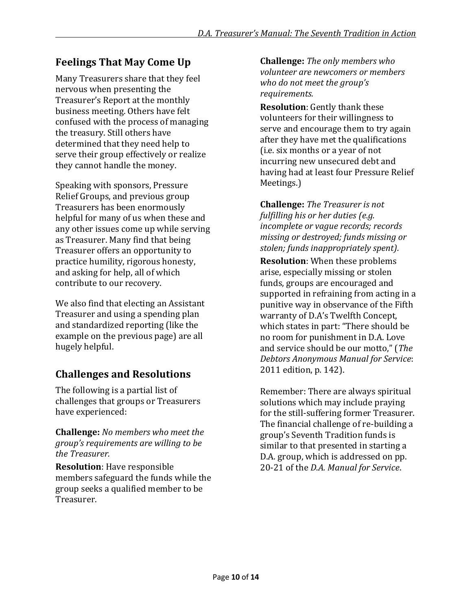## **Feelings That May Come Up**

Many Treasurers share that they feel nervous when presenting the Treasurer's Report at the monthly business meeting. Others have felt confused with the process of managing the treasury. Still others have determined that they need help to serve their group effectively or realize they cannot handle the money.

Speaking with sponsors, Pressure Relief Groups, and previous group Treasurers has been enormously helpful for many of us when these and any other issues come up while serving as Treasurer. Many find that being Treasurer offers an opportunity to practice humility, rigorous honesty, and asking for help, all of which contribute to our recovery.

We also find that electing an Assistant Treasurer and using a spending plan and standardized reporting (like the example on the previous page) are all hugely helpful.

## **Challenges and Resolutions**

The following is a partial list of challenges that groups or Treasurers have experienced:

**Challenge:** *No members who meet the group's requirements are willing to be the Treasurer.* 

**Resolution**: Have responsible members safeguard the funds while the group seeks a qualified member to be Treasurer.

**Challenge:** *The only members who volunteer are newcomers or members who do not meet the group's requirements.* 

**Resolution**: Gently thank these volunteers for their willingness to serve and encourage them to try again after they have met the qualifications (i.e. six months or a year of not incurring new unsecured debt and having had at least four Pressure Relief Meetings.)

**Challenge:** *The Treasurer is not fulfilling his or her duties (e.g. incomplete or vague records; records missing or destroyed; funds missing or stolen; funds inappropriately spent).*

**Resolution**: When these problems arise, especially missing or stolen funds, groups are encouraged and supported in refraining from acting in a punitive way in observance of the Fifth warranty of D.A's Twelfth Concept, which states in part: "There should be no room for punishment in D.A. Love and service should be our motto," (*The Debtors Anonymous Manual for Service*: 2011 edition, p. 142).

Remember: There are always spiritual solutions which may include praying for the still-suffering former Treasurer. The financial challenge of re-building a group's Seventh Tradition funds is similar to that presented in starting a D.A. group, which is addressed on pp. 20-21 of the *D.A. Manual for Service*.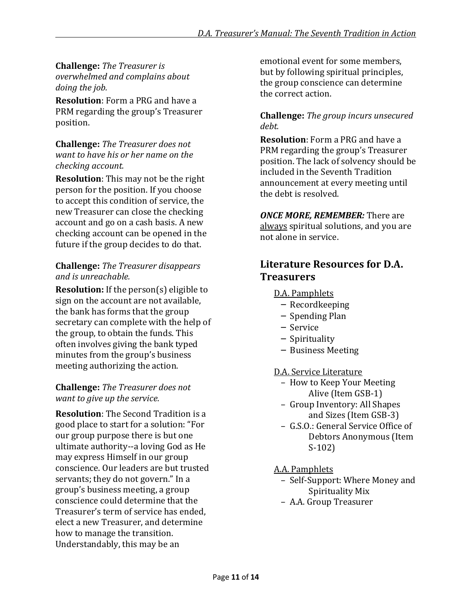**Challenge:** *The Treasurer is overwhelmed and complains about doing the job.* 

**Resolution**: Form a PRG and have a PRM regarding the group's Treasurer position.

#### **Challenge:** *The Treasurer does not want to have his or her name on the checking account.*

**Resolution**: This may not be the right person for the position. If you choose to accept this condition of service, the new Treasurer can close the checking account and go on a cash basis. A new checking account can be opened in the future if the group decides to do that.

#### **Challenge:** *The Treasurer disappears and is unreachable.*

**Resolution:** If the person(s) eligible to sign on the account are not available, the bank has forms that the group secretary can complete with the help of the group, to obtain the funds. This often involves giving the bank typed minutes from the group's business meeting authorizing the action.

#### **Challenge:** *The Treasurer does not want to give up the service.*

**Resolution**: The Second Tradition is a good place to start for a solution: "For our group purpose there is but one ultimate authority--a loving God as He may express Himself in our group conscience. Our leaders are but trusted servants; they do not govern." In a group's business meeting, a group conscience could determine that the Treasurer's term of service has ended, elect a new Treasurer, and determine how to manage the transition. Understandably, this may be an

emotional event for some members, but by following spiritual principles, the group conscience can determine the correct action.

#### **Challenge:** *The group incurs unsecured debt.*

**Resolution**: Form a PRG and have a PRM regarding the group's Treasurer position. The lack of solvency should be included in the Seventh Tradition announcement at every meeting until the debt is resolved.

#### *ONCE MORE, REMEMBER:* There are always spiritual solutions, and you are not alone in service.

## **Literature Resources for D.A. Treasurers**

- D.A. Pamphlets
	- Recordkeeping
	- Spending Plan
	- Service
	- Spirituality
	- Business Meeting

D.A. Service Literature

- How to Keep Your Meeting Alive (Item GSB-1)
- Group Inventory: All Shapes and Sizes (Item GSB-3)
- G.S.O.: General Service Office of Debtors Anonymous (Item S-102)
- A.A. Pamphlets
- Self-Support: Where Money and Spirituality Mix
- A.A. Group Treasurer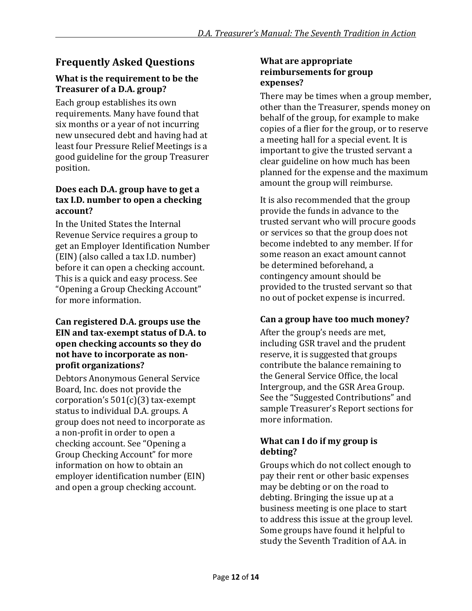## **Frequently Asked Questions**

#### **What is the requirement to be the Treasurer of a D.A. group?**

Each group establishes its own requirements. Many have found that six months or a year of not incurring new unsecured debt and having had at least four Pressure Relief Meetings is a good guideline for the group Treasurer position.

#### **Does each D.A. group have to get a tax I.D. number to open a checking account?**

In the United States the Internal Revenue Service requires a group to get an Employer Identification Number (EIN) (also called a tax I.D. number) before it can open a checking account. This is a quick and easy process. See "Opening a Group Checking Account" for more information.

#### **Can registered D.A. groups use the EIN and tax-exempt status of D.A. to open checking accounts so they do not have to incorporate as nonprofit organizations?**

Debtors Anonymous General Service Board, Inc. does not provide the corporation's  $501(c)(3)$  tax-exempt status to individual D.A. groups. A group does not need to incorporate as a non-profit in order to open a checking account. See "Opening a Group Checking Account" for more information on how to obtain an employer identification number (EIN) and open a group checking account.

#### **What are appropriate reimbursements for group expenses?**

There may be times when a group member, other than the Treasurer, spends money on behalf of the group, for example to make copies of a flier for the group, or to reserve a meeting hall for a special event. It is important to give the trusted servant a clear guideline on how much has been planned for the expense and the maximum amount the group will reimburse.

It is also recommended that the group provide the funds in advance to the trusted servant who will procure goods or services so that the group does not become indebted to any member. If for some reason an exact amount cannot be determined beforehand, a contingency amount should be provided to the trusted servant so that no out of pocket expense is incurred.

#### **Can a group have too much money?**

After the group's needs are met, including GSR travel and the prudent reserve, it is suggested that groups contribute the balance remaining to the General Service Office, the local Intergroup, and the GSR Area Group. See the "Suggested Contributions" and sample Treasurer's Report sections for more information.

#### **What can I do if my group is debting?**

Groups which do not collect enough to pay their rent or other basic expenses may be debting or on the road to debting. Bringing the issue up at a business meeting is one place to start to address this issue at the group level. Some groups have found it helpful to study the Seventh Tradition of A.A. in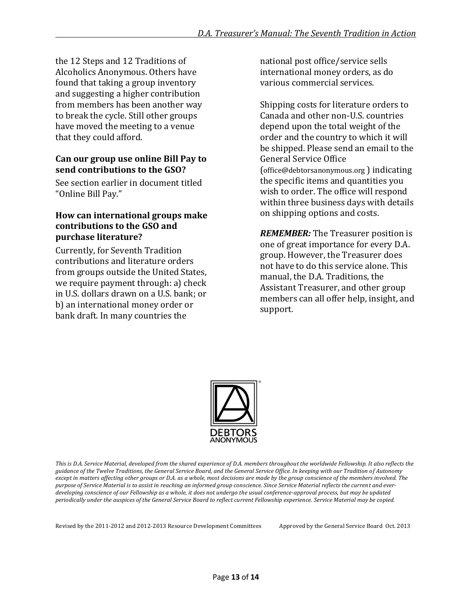the 12 Steps and 12 Traditions of Alcoholics Anonymous. Others have found that taking a group inventory and suggesting a higher contribution from members has been another way to break the cycle. Still other groups have moved the meeting to a venue that they could afford.

#### **Can our group use online Bill Pay to send contributions to the GSO?**

See section earlier in document titled "Online Bill Pay."

#### **How can international groups make contributions to the GSO and purchase literature?**

Currently, for Seventh Tradition contributions and literature orders from groups outside the United States, we require payment through: a) check in U.S. dollars drawn on a U.S. bank; or b) an international money order or bank draft. In many countries the

national post office/service sells international money orders, as do various commercial services.

Shipping costs for literature orders to Canada and other non-U.S. countries depend upon the total weight of the order and the country to which it will be shipped. Please send an email to the General Service Office (office@debtorsanonymous.org ) indicating the specific items and quantities you wish to order. The office will respond within three business days with details on shipping options and costs.

*REMEMBER:* The Treasurer position is one of great importance for every D.A. group. However, the Treasurer does not have to do this service alone. This manual, the D.A. Traditions, the Assistant Treasurer, and other group members can all offer help, insight, and support.



*This is D.A. Service Material, developed from the shared experience of D.A. members throughout the worldwide Fellowship. It also reflects the guidance of the Twelve Traditions, the General Service Board, and the General Service Office. In keeping with our Tradition of Autonomy except in matters affecting other groups or D.A. as a whole, most decisions are made by the group conscience of the members involved. The purpose of Service Material is to assist in reaching an informed group conscience. Since Service Material reflects the current and everdeveloping conscience of our Fellowship as a whole, it does not undergo the usual conference-approval process, but may be updated periodically under the auspices of the General Service Board to reflect current Fellowship experience. Service Material may be copied.*

Revised by the 2011-2012 and 2012-2013 Resource Development Committees Approved by the General Service Board Oct. 2013